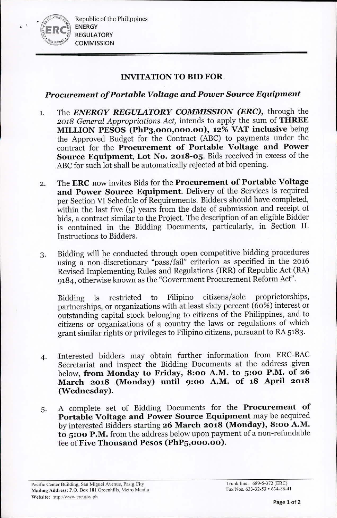Republic of the Philippines ENERGY REGULATORY **COMMISSION** 

## INVITATION TO BID FOR

# *Procurement of Portable Voltage and Power* Source *Equipment*

- 1. The *ENERGY REGULATORY COMMISSION (ERC),* through the *2018 General Appropriations Act,* intends to apply the sum of THREE MILLION PESOS (PhP3,000,000,00), 12% VAT inclusive being the Approved Budget for the Contract (ABC) to payments under the contract for the Procurement of Portable Voltage and Power Source Equipment, Lot No. 2018-05. Bids received in excess of the ABC for such lot shall be automatically rejected at bid opening.
- 2. The ERC now invites Bids for the Procurement of Portable Voltage and Power Source Equipment. Delivery of the Services is required per Section VI Schedule of Requirements. Bidders should have completed, within the last five (5) years from the date of submission and receipt of bids, a contract similar to the Project. The description of an eligible Bidder is contained in the Bidding Documents, particularly, in Section II. Instructions to Bidders.
- 3. Bidding will be conducted through open competitive bidding procedures using a non-discretionary "pass/fail" criterion as specified in the 2016 Revised Implementing Rules and Regulations (IRR) of Republic Act (RA) 9184, otherwise known as the "Government Procurement Reform Act".

Bidding is restricted to Filipino citizens/sole proprietorships, partnerships, or organizations with at least sixty percent (60%) interest or outstanding capital stock belonging to citizens of the Philippines, and to citizens or organizations of a country the laws or regulations of which grant similar rights or privileges to Filipino citizens, pursuant to RA 5183.

- 4. Interested bidders may obtain further information from ERC-BAC Secretariat and inspect the Bidding Documents at the address given below, from Monday to Friday, 8:00 A.M. to 5:00 P.M. of 26 March 2018 (Monday) until 9'00 A.M. of 18 April 2018 (Wednesday).
- 5. A complete set of Bidding Documents for the Procurement of Portable Voltage and Power Source Equipment may be acquired by interested Bidders starting 26 March 2018 (Monday), 8:00 A.M. to 5:00 P.M. from the address below upon payment of a non-refundable fee of Five Thousand Pesos (PhP5,000.00).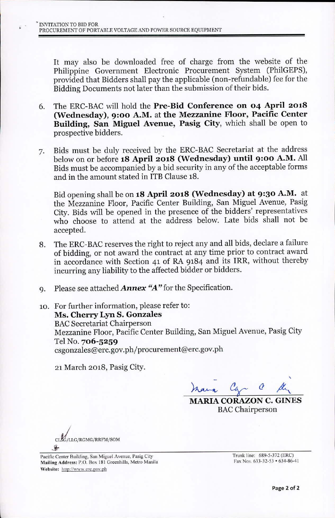It may also be downloaded free of charge from the website of the Philippine Government Electronic Procurement System (PhilGEPS), provided that Bidders shall pay the applicable (non-refundable) fee for the Bidding Documents not later than the submission of their bids.

- 6. The ERC-BACwill hold the Pre-Bid Conferenee on 04 April 2018 (Wednesday), 9:00 A.M. at the Mezzanine Floor, Pacific Center Building, San Miguel Avenue, Pasig City, which shall be open to prospective bidders.
- 7. Bids must be duly received by the ERC-BAC Secretariat at the address below on or before 18 April 2018 (Wednesday) until 9:00 A.M. All Bids must be accompanied by a bid security in any of the acceptable forms and in the amount stated in ITB Clause 18.

Bid opening shall be on 18 April 2018 (Wednesday) at 9:30 A.M. at the Mezzanine Floor, Pacific Center Building, San Miguel Avenue, Pasig City. Bids will be opened in the presence of the bidders' representatives who choose to attend at the address below. Late bids shall not be accepted.

- 8. The ERC-BAC reserves the right to reject any and all bids, declare a failure of bidding, or not award the contract at any time prior to contract award in accordance with Section 41 of RA 9184 and its IRR, without thereby incurring any liability to the affected bidder or bidders.
- 9. Please see attached *Annex "A"* for the Specification.
- 10. For further information, please refer to: Ms. Cherry Lyn S. Gonzales **BAC Secretariat Chairperson** Mezzanine Floor, Pacific Center Building, San Miguel Avenue, Pasig City Tel No. 706-5259 [csgonzales@erc.gov.ph/procurement@erc.gov.ph](mailto:csgonzales@erc.gov.ph/procurement@erc.gov.ph)

21 March 2018, Pasig City.

,  $h$ ana Car

MARIA CORAZON C. GINES **BAC** Chairperson

CLSG/LLG/RGMG/RRFM/SOM *!i-*

Pacific Center Building, San Miguel Avenue, Pasig City Mailing Address: P.O. Box 181 Greenhills, Metro Manila Website: http://www.erc.gov.ph

Trunk line: 689-5-372 (ERe) Fax Nos. 633-32-53 • 634-86-41